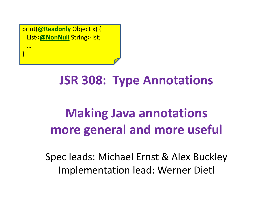print(**@Readonly** Object x) { List<**@NonNull** String> lst;

…

}

#### **JSR 308: Type Annotations**

### **Making Java annotationsmore general and more useful**

Spec leads: Michael Ernst & Alex BuckleyImplementation lead: Werner Dietl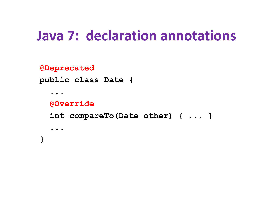### **Java 7: declaration annotations**

**@Deprecated**

**public class Date {**

**@Override**

**int compareTo(Date other) { ... }**

**...}**

**...**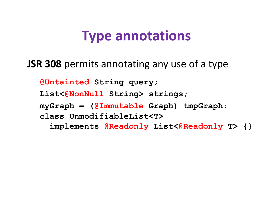#### **Type annotations**

**JSR 308** permits annotating any use of a type

**@Untainted String query;**

**List<@NonNull String> strings;**

**myGraph = (@Immutable Graph) tmpGraph;**

**class UnmodifiableList<T>**

**implements @Readonly List<@Readonly T> {}**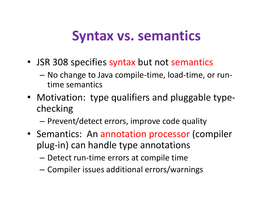#### **Syntax vs. semantics**

- JSR 308 specifies syntax but not semantics
	- –- No change to Java compile-time, load-time, or runtime semantics
- Motivation: type qualifiers and pluggable typechecking
	- – $-$  Prevent/detect errors, improve code quality
- Semantics: An annotation processor (compiler plug-in) can handle type annotations
	- – $-$  Detect run-time errors at compile time
	- –Compiler issues additional errors/warnings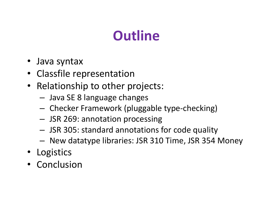# **Outline**

- Java syntax
- Classfile representation
- Relationship to other projects:
	- –Java SE 8 language changes
	- – $-$  Checker Framework (pluggable type-checking)
	- –JSR 269: annotation processing
	- –JSR 305: standard annotations for code quality
	- – $-$  New datatype libraries: JSR 310 Time, JSR 354 Money
- Logistics
- Conclusion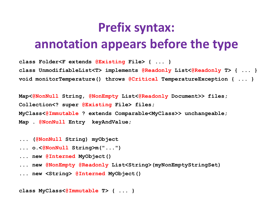### **Prefix syntax:annotation appears before the type**

**class Folder<F extends @Existing File> { ... }class UnmodifiableList<T> implements @Readonly List<@Readonly T> { ... } void monitorTemperature() throws @Critical TemperatureException { ... }**

**Map<@NonNull String, @NonEmpty List<@Readonly Document>> files; Collection<? super @Existing File> files;MyClass<@Immutable ? extends Comparable<MyClass>> unchangeable;Map . @NonNull Entry keyAndValue;**

- **... (@NonNull String) myObject**
- **... o.<@NonNull String>m("...")**
- **... new @Interned MyObject()**
- **... new @NonEmpty @Readonly List<String>(myNonEmptyStringSet)**
- **... new <String> @Interned MyObject()**

**class MyClass<@Immutable T> { ... }**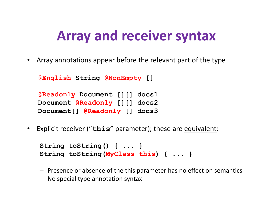### **Array and receiver syntax**

• Array annotations appear before the relevant part of the type

```
@English String @NonEmpty []
```

```
@Readonly Document [][] docs1
Document @Readonly [][] docs2
Document[] @Readonly [] docs3
```
• Explicit receiver ("**this**" parameter); these are equivalent:

```
String toString() { ... }
String toString(MyClass this) { ... }
```
- Presence or absence of the this parameter has no effect on semantics
- No special type annotation syntax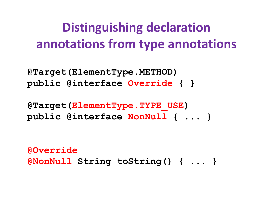### **Distinguishing declaration annotations from type annotations**

**@Target(ElementType.METHOD)public @interface Override { }**

**@Target(ElementType.TYPE\_USE)public @interface NonNull { ... }**

**@Override@NonNull String toString() { ... }**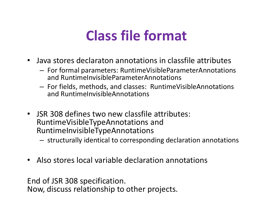## **Class file format**

- Java stores declaraton annotations in classfile attributes
	- –- For formal parameters: RuntimeVisibleParameterAnnotations and RuntimeInvisibleParameterAnnotations
	- – For fields, methods, and classes: RuntimeVisibleAnnotation sand RuntimeInvisibleAnnotations
- JSR 308 defines two new classfile attributes: RuntimeVisibleTypeAnnotations and RuntimeInvisibleTypeAnnotations
	- –structurally identical to corresponding declaration annotations
- $\bullet$ Also stores local variable declaration annotations

End of JSR 308 specification.

Now, discuss relationship to other projects.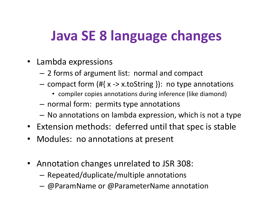# **Java SE 8 language changes**

- Lambda expressions
	- 2 forms of argument list: normal and compact
	- – $-$  compact form (#{ x -> x.toString }): no type annotations
		- compiler copies annotations during inference (like diamond)
	- $-$  normal form: permits type annotations
	- $-$  No annotations on lambda expression, which is not a type
- Extension methods: deferred until that spec is stable
- Modules: no annotations at present
- Annotation changes unrelated to JSR 308:
	- – $-$  Repeated/duplicate/multiple annotations
	- @ParamName or @ParameterName annotation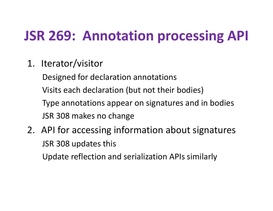# **JSR 269: Annotation processing API**

- 1. Iterator/visitor
	- Designed for declaration annotations
	- Visits each declaration (but not their bodies)
	- Type annotations appear on signatures and in bodiesJSR 308 makes no change
- 2. API for accessing information about signatures JSR 308 updates thisUpdate reflection and serialization APIs similarly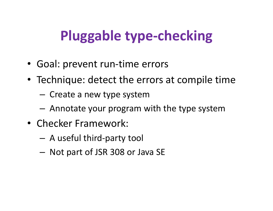# **Pluggable type-checking**

- Goal: prevent run-time errors
- Technique: detect the errors at compile time
	- $-$  Create a new type system
	- Annotate your program with the type system
- Checker Framework:
	- A useful third-party tool
	- $-$  Not part of JSR 308 or Java SE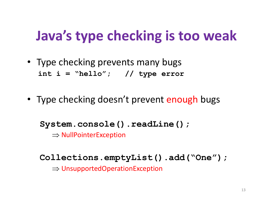# **Java's type checking is too weak**

- Type checking prevents many bugs**int <sup>i</sup> <sup>=</sup>"hello"; // type error**
- Type checking doesn't prevent enough bugs

**System.console().readLine();**

⇒ NullPointerException

**Collections.emptyList().add("One");**⇒ UnsupportedOperationException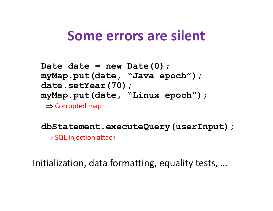#### **Some errors are silent**

```
Date date = new Date(0);
myMap.put(date, "Java epoch");date.setYear(70);
myMap.put(date, "Linux epoch");\Rightarrow Corrupted map
```
**dbStatement.executeQuery(userInput);** $\Rightarrow$  SQL injection attack

Initialization, data formatting, equality tests, …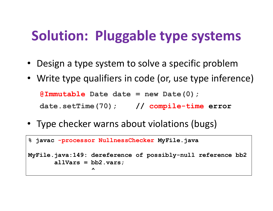# **Solution: Pluggable type systems**

- Design a type system to solve a specific problem
- Write type qualifiers in code (or, use type inference)

```
@Immutable Date date = new Date(0);
```

```
date.setTime(70); // compile-time error
```
• Type checker warns about violations (bugs)

```
% javac -processor NullnessChecker MyFile.java
MyFile.java:149: dereference of possibly-null reference bb2allVars = bb2.vars;
                 ^
```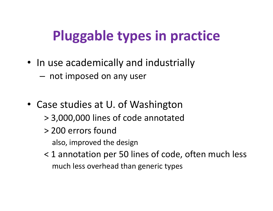# **Pluggable types in practice**

- In use academically and industrially
	- $-$  not imposed on any user
- Case studies at U. of Washington
	- > 3,000,000 lines of code annotated
	- > 200 errors foundalso, improved the design
	- < 1 annotation per 50 lines of code, often much lessmuch less overhead than generic types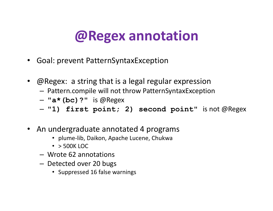### **@Regex annotation**

- Goal: prevent PatternSyntaxException
- @Regex: a string that is a legal regular expression
	- Pattern compile will not throw PatternSyntavEvcenti  $-$  Pattern.compile will not throw PatternSyntaxException
	- **"a\*(bc)?"** is @Regex
	- **"1) first point; 2) second point"** is not @Regex
- An undergraduate annotated 4 programs
	- plume-lib, Daikon, Apache Lucene, Chukwa
	- > 500K LOC
	- Wrote 62 annotations
	- –- Detected over 20 bugs
		- Suppressed 16 false warnings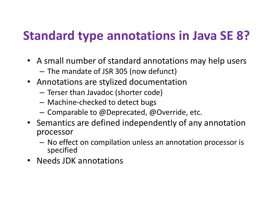### **Standard type annotations in Java SE 8?**

- A small number of standard annotations may help users
	- $-$  The mandate of JSR 305 (now defunct)
- Annotations are stylized documentation
	- –Terser than Javadoc (shorter code)
	- Machine-checked to detect bugs
	- $-$  Comparable to @Deprecated, @Override, etc.
- Semantics are defined independently of any annotation processor
	- No effect on compilation unless an annotation processor is specified
- Needs JDK annotations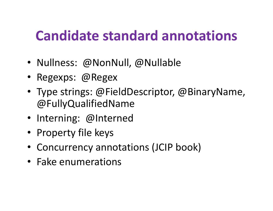# **Candidate standard annotations**

- Nullness: @NonNull, @Nullable
- Regexps: @Regex
- Type strings: @FieldDescriptor, @BinaryName, @FullyQualifiedName
- Interning: @Interned
- Property file keys
- Concurrency annotations (JCIP book)
- Fake enumerations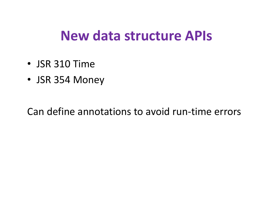#### **New data structure APIs**

- JSR 310 Time
- JSR 354 Money

Can define annotations to avoid run-time errors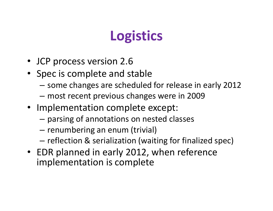## **Logistics**

- JCP process version 2.6
- Spec is complete and stable
	- –some changes are scheduled for release in early 2012
	- –most recent previous changes were in 2009
- Implementation complete except:
	- –parsing of annotations on nested classes
	- –- renumbering an enum (trivial)
	- – $-$  reflection & serialization (waiting for finalized spec)
- EDR planned in early 2012, when reference implementation is complete